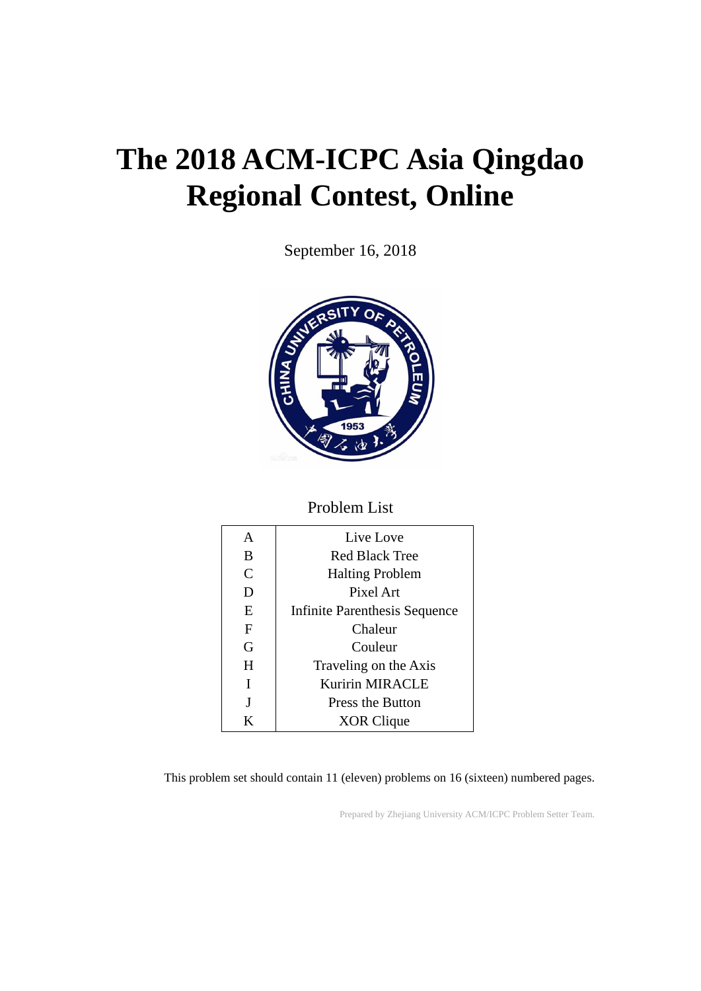# **The 2018 ACM-ICPC Asia Qingdao Regional Contest, Online**

September 16, 2018



#### Problem List

| A | Live Love                            |
|---|--------------------------------------|
| B | Red Black Tree                       |
| C | <b>Halting Problem</b>               |
| D | Pixel Art                            |
| E | <b>Infinite Parenthesis Sequence</b> |
| F | Chaleur                              |
| G | Couleur                              |
| H | Traveling on the Axis                |
| I | Kuririn MIRACLE                      |
| J | <b>Press the Button</b>              |
| K | XOR Clique                           |

This problem set should contain 11 (eleven) problems on 16 (sixteen) numbered pages.

Prepared by Zhejiang University ACM/ICPC Problem Setter Team.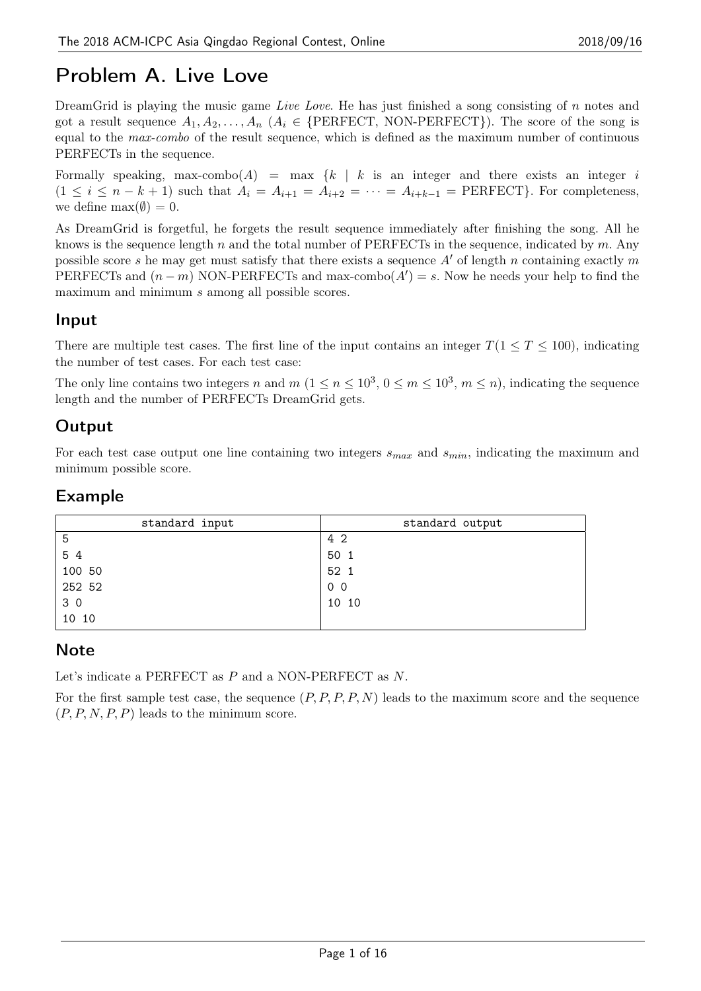# Problem A. Live Love

DreamGrid is playing the music game *Live Love*. He has just finished a song consisting of *n* notes and got a result sequence  $A_1, A_2, \ldots, A_n$  ( $A_i \in \{\text{PERFECT}, \text{NON-PERFECT}\}\)$ ). The score of the song is equal to the *max-combo* of the result sequence, which is defined as the maximum number of continuous PERFECTs in the sequence.

Formally speaking, max-combo $(A)$  = max  $\{k \mid k$  is an integer and there exists an integer *i*  $(1 \leq i \leq n-k+1)$  such that  $A_i = A_{i+1} = A_{i+2} = \cdots = A_{i+k-1} = \text{PERFECT}$ . For completeness, we define  $\max(\emptyset) = 0$ .

As DreamGrid is forgetful, he forgets the result sequence immediately after finishing the song. All he knows is the sequence length *n* and the total number of PERFECTs in the sequence, indicated by *m*. Any possible score *s* he may get must satisfy that there exists a sequence *A′* of length *n* containing exactly *m* PERFECTs and  $(n - m)$  NON-PERFECTs and max-combo $(A') = s$ . Now he needs your help to find the maximum and minimum *s* among all possible scores.

#### Input

There are multiple test cases. The first line of the input contains an integer  $T(1 \leq T \leq 100)$ , indicating the number of test cases. For each test case:

The only line contains two integers *n* and  $m$   $(1 \le n \le 10^3, 0 \le m \le 10^3, m \le n)$ , indicating the sequence length and the number of PERFECTs DreamGrid gets.

### **Output**

For each test case output one line containing two integers *smax* and *smin*, indicating the maximum and minimum possible score.

#### Example

| standard input | standard output |
|----------------|-----------------|
| 5              | 42              |
| 54             | 50 1            |
| 100 50         | 52 1            |
| 252 52         | 0 <sub>0</sub>  |
| 30             | 10 10           |
| 10 10          |                 |

#### **Note**

Let's indicate a PERFECT as *P* and a NON-PERFECT as *N*.

For the first sample test case, the sequence (*P, P, P, P, N*) leads to the maximum score and the sequence (*P, P, N, P, P*) leads to the minimum score.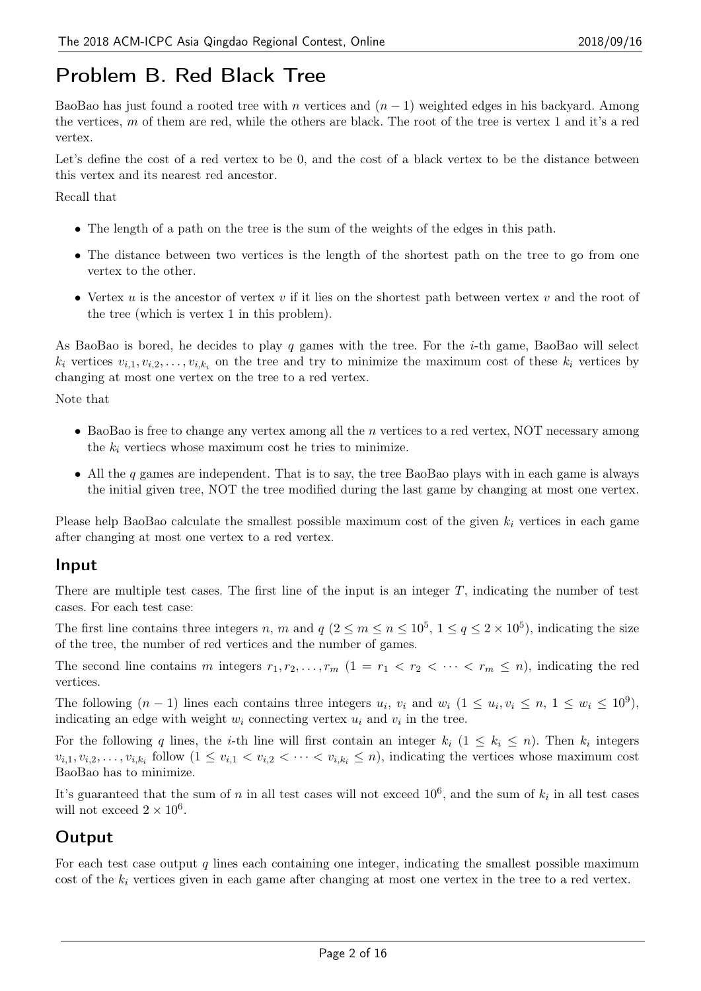# Problem B. Red Black Tree

BaoBao has just found a rooted tree with *n* vertices and (*n −* 1) weighted edges in his backyard. Among the vertices, *m* of them are red, while the others are black. The root of the tree is vertex 1 and it's a red vertex.

Let's define the cost of a red vertex to be 0, and the cost of a black vertex to be the distance between this vertex and its nearest red ancestor.

Recall that

- *•* The length of a path on the tree is the sum of the weights of the edges in this path.
- The distance between two vertices is the length of the shortest path on the tree to go from one vertex to the other.
- *•* Vertex *u* is the ancestor of vertex *v* if it lies on the shortest path between vertex *v* and the root of the tree (which is vertex 1 in this problem).

As BaoBao is bored, he decides to play *q* games with the tree. For the *i*-th game, BaoBao will select  $k_i$  vertices  $v_{i,1}, v_{i,2}, \ldots, v_{i,k_i}$  on the tree and try to minimize the maximum cost of these  $k_i$  vertices by changing at most one vertex on the tree to a red vertex.

Note that

- *•* BaoBao is free to change any vertex among all the *n* vertices to a red vertex, NOT necessary among the  $k_i$  vertiecs whose maximum cost he tries to minimize.
- *•* All the *q* games are independent. That is to say, the tree BaoBao plays with in each game is always the initial given tree, NOT the tree modified during the last game by changing at most one vertex.

Please help BaoBao calculate the smallest possible maximum cost of the given  $k_i$  vertices in each game after changing at most one vertex to a red vertex.

#### Input

There are multiple test cases. The first line of the input is an integer *T*, indicating the number of test cases. For each test case:

The first line contains three integers *n*, *m* and  $q$  ( $2 \le m \le n \le 10^5$ ,  $1 \le q \le 2 \times 10^5$ ), indicating the size of the tree, the number of red vertices and the number of games.

The second line contains *m* integers  $r_1, r_2, \ldots, r_m$  (1 =  $r_1 < r_2 < \cdots < r_m \leq n$ ), indicating the red vertices.

The following  $(n-1)$  lines each contains three integers  $u_i$ ,  $v_i$  and  $w_i$   $(1 \le u_i, v_i \le n, 1 \le w_i \le 10^9)$ , indicating an edge with weight  $w_i$  connecting vertex  $u_i$  and  $v_i$  in the tree.

For the following *q* lines, the *i*-th line will first contain an integer  $k_i$  ( $1 \leq k_i \leq n$ ). Then  $k_i$  integers  $v_{i,1}, v_{i,2}, \ldots, v_{i,k_i}$  follow  $(1 \le v_{i,1} < v_{i,2} < \cdots < v_{i,k_i} \le n)$ , indicating the vertices whose maximum cost BaoBao has to minimize.

It's guaranteed that the sum of *n* in all test cases will not exceed  $10^6$ , and the sum of  $k_i$  in all test cases will not exceed  $2 \times 10^6$ .

### Output

For each test case output *q* lines each containing one integer, indicating the smallest possible maximum cost of the *k<sup>i</sup>* vertices given in each game after changing at most one vertex in the tree to a red vertex.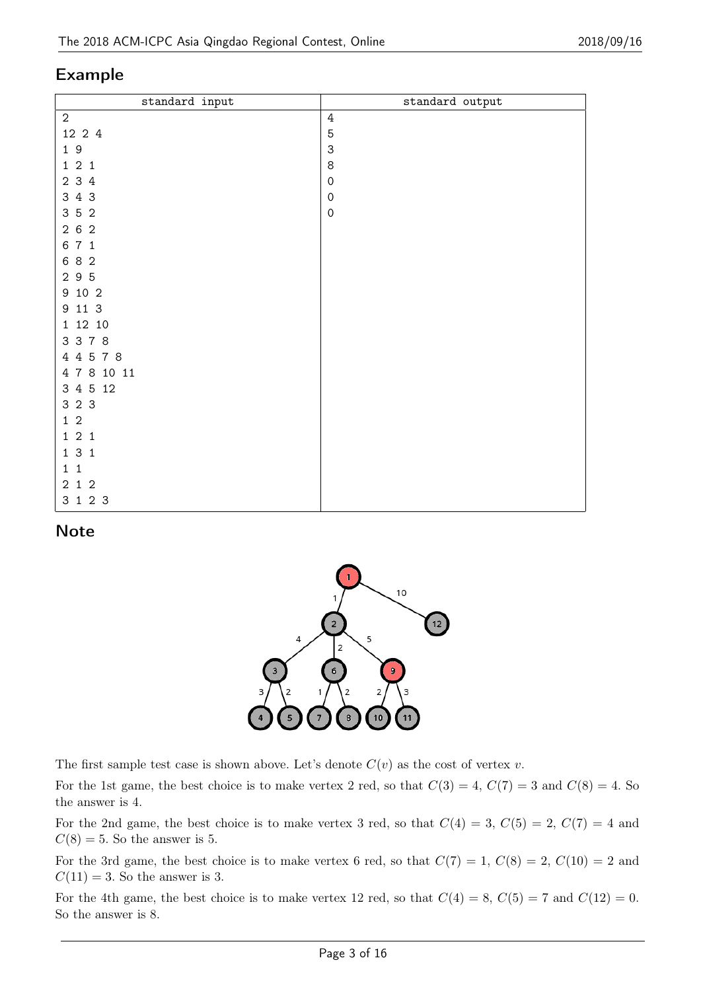| standard input | standard output           |
|----------------|---------------------------|
| $\overline{2}$ | $\sqrt{4}$                |
| 12 2 4         | $\mathbf 5$               |
| 19             | $\ensuremath{\mathsf{3}}$ |
| 121            | $\bf 8$                   |
| 2 3 4          | $\mathsf{O}\xspace$       |
| 3 4 3          | $\mbox{O}$                |
| 3 5 2          | $\mbox{O}$                |
| 262            |                           |
| 6 7 1          |                           |
| 682            |                           |
| 2 9 5          |                           |
| 9 10 2         |                           |
| 9 11 3         |                           |
| 1 12 10        |                           |
| 3 3 7 8        |                           |
| 4 4 5 7 8      |                           |
| 4 7 8 10 11    |                           |
| 3 4 5 12       |                           |
| 3 2 3          |                           |
| $1\,2$         |                           |
| 121            |                           |
| 131            |                           |
| $1\quad1$      |                           |
| $2\ 1\ 2$      |                           |
| 3 1 2 3        |                           |

#### **Note**



The first sample test case is shown above. Let's denote  $C(v)$  as the cost of vertex *v*.

For the 1st game, the best choice is to make vertex 2 red, so that  $C(3) = 4$ ,  $C(7) = 3$  and  $C(8) = 4$ . So the answer is 4.

For the 2nd game, the best choice is to make vertex 3 red, so that  $C(4) = 3$ ,  $C(5) = 2$ ,  $C(7) = 4$  and  $C(8) = 5$ . So the answer is 5.

For the 3rd game, the best choice is to make vertex 6 red, so that  $C(7) = 1, C(8) = 2, C(10) = 2$  and  $C(11) = 3$ . So the answer is 3.

For the 4th game, the best choice is to make vertex 12 red, so that  $C(4) = 8$ ,  $C(5) = 7$  and  $C(12) = 0$ . So the answer is 8.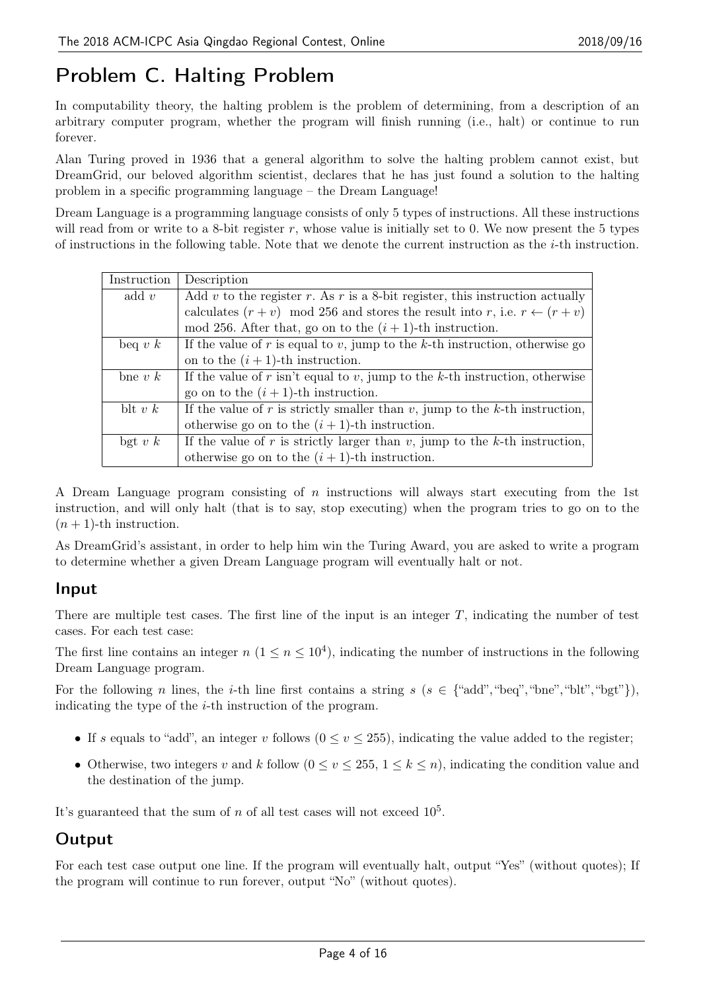# Problem C. Halting Problem

In computability theory, the halting problem is the problem of determining, from a description of an arbitrary computer program, whether the program will finish running (i.e., halt) or continue to run forever.

Alan Turing proved in 1936 that a general algorithm to solve the halting problem cannot exist, but DreamGrid, our beloved algorithm scientist, declares that he has just found a solution to the halting problem in a specific programming language – the Dream Language!

Dream Language is a programming language consists of only 5 types of instructions. All these instructions will read from or write to a 8-bit register *r*, whose value is initially set to 0. We now present the 5 types of instructions in the following table. Note that we denote the current instruction as the *i*-th instruction.

| Instruction | Description                                                                            |
|-------------|----------------------------------------------------------------------------------------|
| add $v$     | Add v to the register r. As r is a 8-bit register, this instruction actually           |
|             | calculates $(r + v)$ mod 256 and stores the result into r, i.e. $r \leftarrow (r + v)$ |
|             | mod 256. After that, go on to the $(i + 1)$ -th instruction.                           |
| beq v $k$   | If the value of $r$ is equal to $v$ , jump to the $k$ -th instruction, otherwise go    |
|             | on to the $(i + 1)$ -th instruction.                                                   |
| bne $v k$   | If the value of $r$ isn't equal to $v$ , jump to the $k$ -th instruction, otherwise    |
|             | go on to the $(i + 1)$ -th instruction.                                                |
| blt $v k$   | If the value of r is strictly smaller than $v$ , jump to the k-th instruction,         |
|             | otherwise go on to the $(i + 1)$ -th instruction.                                      |
| bgt v $k$   | If the value of r is strictly larger than $v$ , jump to the k-th instruction,          |
|             | otherwise go on to the $(i + 1)$ -th instruction.                                      |

A Dream Language program consisting of *n* instructions will always start executing from the 1st instruction, and will only halt (that is to say, stop executing) when the program tries to go on to the  $(n+1)$ -th instruction.

As DreamGrid's assistant, in order to help him win the Turing Award, you are asked to write a program to determine whether a given Dream Language program will eventually halt or not.

#### Input

There are multiple test cases. The first line of the input is an integer *T*, indicating the number of test cases. For each test case:

The first line contains an integer  $n (1 \le n \le 10^4)$ , indicating the number of instructions in the following Dream Language program.

For the following *n* lines, the *i*-th line first contains a string  $s$  ( $s \in \{\text{``add''}, \text{``bed''}, \text{``but''}, \text{``but''}, \text{``by''}\}\)$ , indicating the type of the *i*-th instruction of the program.

- If *s* equals to "add", an integer *v* follows  $(0 \le v \le 255)$ , indicating the value added to the register;
- Otherwise, two integers *v* and *k* follow  $(0 \le v \le 255, 1 \le k \le n)$ , indicating the condition value and the destination of the jump.

It's guaranteed that the sum of  $n$  of all test cases will not exceed  $10<sup>5</sup>$ .

#### Output

For each test case output one line. If the program will eventually halt, output "Yes" (without quotes); If the program will continue to run forever, output "No" (without quotes).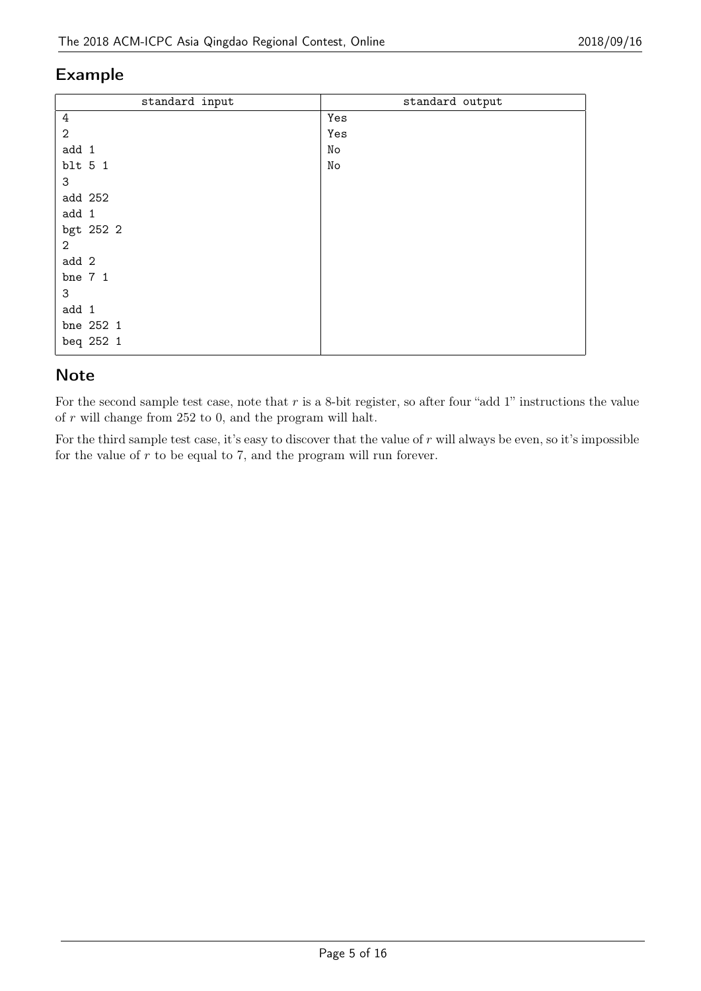| standard input | standard output |
|----------------|-----------------|
| $\sqrt{4}$     | Yes             |
| $\mathbf{2}$   | Yes             |
| add 1          | No              |
| blt 5 1        | No              |
| 3              |                 |
| add 252        |                 |
| add 1          |                 |
| bgt 252 2      |                 |
| $\overline{2}$ |                 |
| add 2          |                 |
| bne 7 1        |                 |
| 3              |                 |
| add 1          |                 |
| bne 252 1      |                 |
| beq 252 1      |                 |

#### **Note**

For the second sample test case, note that *r* is a 8-bit register, so after four "add 1" instructions the value of *r* will change from 252 to 0, and the program will halt.

For the third sample test case, it's easy to discover that the value of *r* will always be even, so it's impossible for the value of *r* to be equal to 7, and the program will run forever.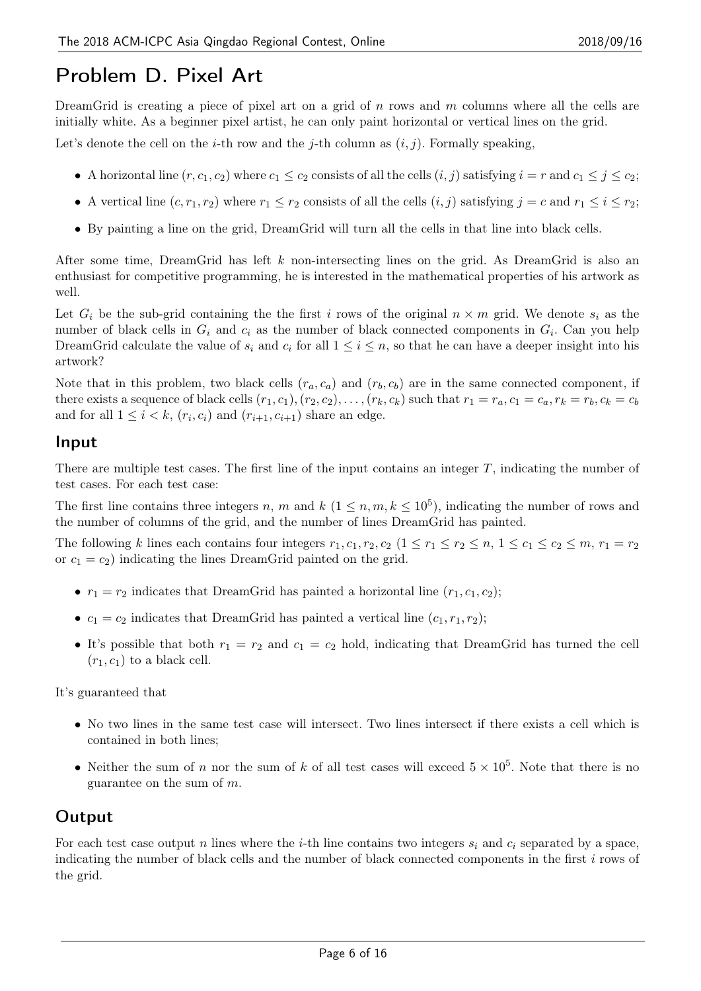# Problem D. Pixel Art

DreamGrid is creating a piece of pixel art on a grid of *n* rows and *m* columns where all the cells are initially white. As a beginner pixel artist, he can only paint horizontal or vertical lines on the grid.

Let's denote the cell on the *i*-th row and the *j*-th column as  $(i, j)$ . Formally speaking,

- A horizontal line  $(r, c_1, c_2)$  where  $c_1 \leq c_2$  consists of all the cells  $(i, j)$  satisfying  $i = r$  and  $c_1 \leq j \leq c_2$ ;
- A vertical line  $(c, r_1, r_2)$  where  $r_1 \leq r_2$  consists of all the cells  $(i, j)$  satisfying  $j = c$  and  $r_1 \leq i \leq r_2$ ;
- *•* By painting a line on the grid, DreamGrid will turn all the cells in that line into black cells.

After some time, DreamGrid has left *k* non-intersecting lines on the grid. As DreamGrid is also an enthusiast for competitive programming, he is interested in the mathematical properties of his artwork as well.

Let  $G_i$  be the sub-grid containing the the first *i* rows of the original  $n \times m$  grid. We denote  $s_i$  as the number of black cells in *G<sup>i</sup>* and *c<sup>i</sup>* as the number of black connected components in *G<sup>i</sup>* . Can you help DreamGrid calculate the value of  $s_i$  and  $c_i$  for all  $1 \leq i \leq n$ , so that he can have a deeper insight into his artwork?

Note that in this problem, two black cells  $(r_a, c_a)$  and  $(r_b, c_b)$  are in the same connected component, if there exists a sequence of black cells  $(r_1, c_1), (r_2, c_2), \ldots, (r_k, c_k)$  such that  $r_1 = r_a, c_1 = c_a, r_k = r_b, c_k = c_b$ and for all  $1 \leq i \leq k$ ,  $(r_i, c_i)$  and  $(r_{i+1}, c_{i+1})$  share an edge.

### Input

There are multiple test cases. The first line of the input contains an integer *T*, indicating the number of test cases. For each test case:

The first line contains three integers *n*, *m* and  $k$  ( $1 \leq n, m, k \leq 10^5$ ), indicating the number of rows and the number of columns of the grid, and the number of lines DreamGrid has painted.

The following k lines each contains four integers  $r_1, c_1, r_2, c_2$   $(1 \le r_1 \le r_2 \le n, 1 \le c_1 \le c_2 \le m, r_1 = r_2$ or  $c_1 = c_2$ ) indicating the lines DreamGrid painted on the grid.

- $r_1 = r_2$  indicates that DreamGrid has painted a horizontal line  $(r_1, c_1, c_2)$ ;
- $c_1 = c_2$  indicates that DreamGrid has painted a vertical line  $(c_1, r_1, r_2)$ ;
- It's possible that both  $r_1 = r_2$  and  $c_1 = c_2$  hold, indicating that DreamGrid has turned the cell  $(r_1, c_1)$  to a black cell.

It's guaranteed that

- No two lines in the same test case will intersect. Two lines intersect if there exists a cell which is contained in both lines;
- Neither the sum of *n* nor the sum of *k* of all test cases will exceed  $5 \times 10^5$ . Note that there is no guarantee on the sum of *m*.

## **Output**

For each test case output *n* lines where the *i*-th line contains two integers  $s_i$  and  $c_i$  separated by a space, indicating the number of black cells and the number of black connected components in the first *i* rows of the grid.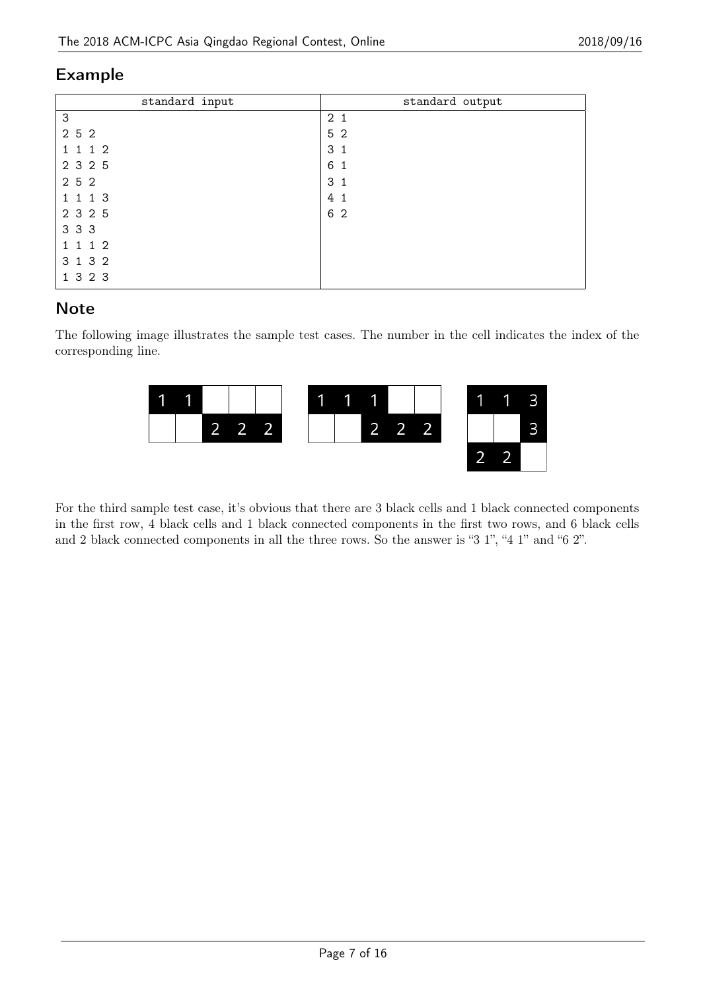| standard input | standard output   |
|----------------|-------------------|
| 3              | 2 <sub>1</sub>    |
| 2 5 2          | 5 2               |
| 1 1 1 2        | 3 <sub>1</sub>    |
| 2 3 2 5        | 6<br>$\mathbf{1}$ |
| 2 5 2          | 3 <sub>1</sub>    |
| 1 1 1 3        | 4 <sub>1</sub>    |
| 2 3 2 5        | 6 2               |
| 3 3 3          |                   |
| 1 1 1 2        |                   |
| 3 1 3 2        |                   |
| 1 3 2 3        |                   |

#### **Note**

The following image illustrates the sample test cases. The number in the cell indicates the index of the corresponding line.



For the third sample test case, it's obvious that there are 3 black cells and 1 black connected components in the first row, 4 black cells and 1 black connected components in the first two rows, and 6 black cells and 2 black connected components in all the three rows. So the answer is "3 1", "4 1" and "6 2".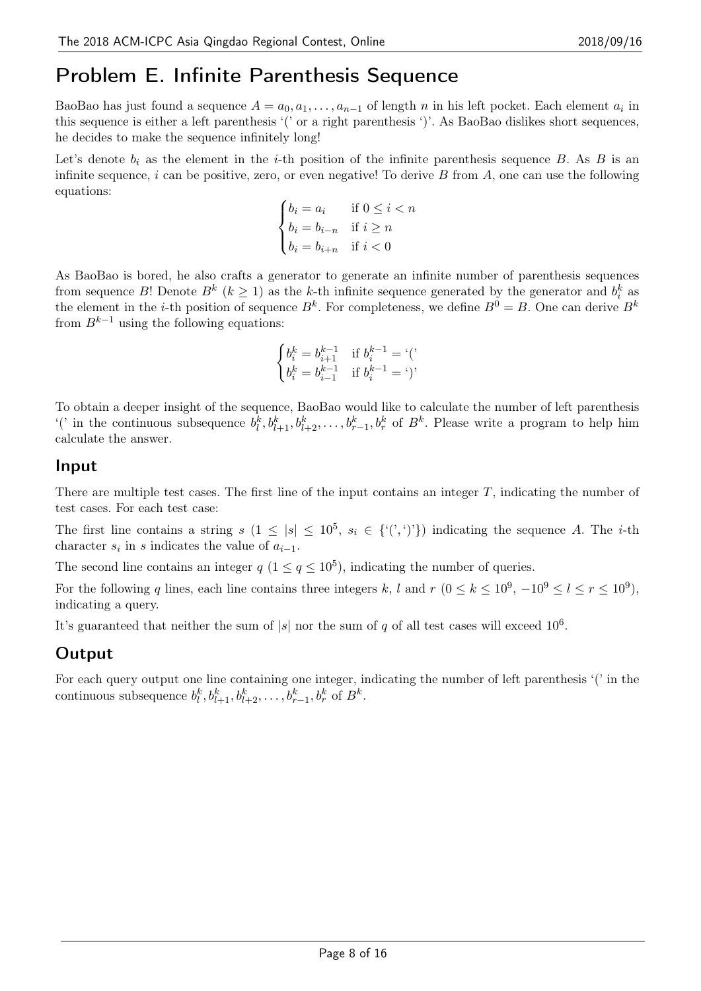# Problem E. Infinite Parenthesis Sequence

BaoBao has just found a sequence  $A = a_0, a_1, \ldots, a_{n-1}$  of length  $n$  in his left pocket. Each element  $a_i$  in this sequence is either a left parenthesis '(' or a right parenthesis ')'. As BaoBao dislikes short sequences, he decides to make the sequence infinitely long!

Let's denote  $b_i$  as the element in the *i*-th position of the infinite parenthesis sequence *B*. As *B* is an infinite sequence, *i* can be positive, zero, or even negative! To derive *B* from *A*, one can use the following equations:

$$
\begin{cases} b_i = a_i & \text{if } 0 \le i < n \\ b_i = b_{i-n} & \text{if } i \ge n \\ b_i = b_{i+n} & \text{if } i < 0 \end{cases}
$$

As BaoBao is bored, he also crafts a generator to generate an infinite number of parenthesis sequences from sequence *B*! Denote  $B^k$  ( $k \geq 1$ ) as the *k*-th infinite sequence generated by the generator and  $b_i^k$  as the element in the *i*-th position of sequence  $B^k$ . For completeness, we define  $B^0 = B$ . One can derive  $B^k$ from  $B^{k-1}$  using the following equations:

$$
\begin{cases} b_i^k=b_{i+1}^{k-1} & \text{if } b_i^{k-1}=\text{`}(\text{'}\\ b_i^k=b_{i-1}^{k-1} & \text{if } b_i^{k-1}=\text{'}\text{)}` \end{cases}
$$

To obtain a deeper insight of the sequence, BaoBao would like to calculate the number of left parenthesis ('in the continuous subsequence  $b_l^k, b_{l+1}^k, b_{l+2}^k, \ldots, b_{r-1}^k, b_r^k$  of  $B^k$ . Please write a program to help him calculate the answer.

#### Input

There are multiple test cases. The first line of the input contains an integer *T*, indicating the number of test cases. For each test case:

The first line contains a string  $s$   $(1 \leq |s| \leq 10^5, s_i \in \{ (1, 0, 0) \}$  indicating the sequence *A*. The *i*-th character  $s_i$  in  $s$  indicates the value of  $a_{i-1}$ .

The second line contains an integer  $q$  ( $1 \leq q \leq 10^5$ ), indicating the number of queries.

For the following *q* lines, each line contains three integers *k*, *l* and  $r$  ( $0 \le k \le 10^9$ ,  $-10^9 \le l \le r \le 10^9$ ), indicating a query.

It's guaranteed that neither the sum of  $|s|$  nor the sum of  $q$  of all test cases will exceed  $10^6$ .

#### Output

For each query output one line containing one integer, indicating the number of left parenthesis '(' in the continuous subsequence  $b_l^k, b_{l+1}^k, b_{l+2}^k, \ldots, b_{r-1}^k, b_r^k$  of  $B^k$ .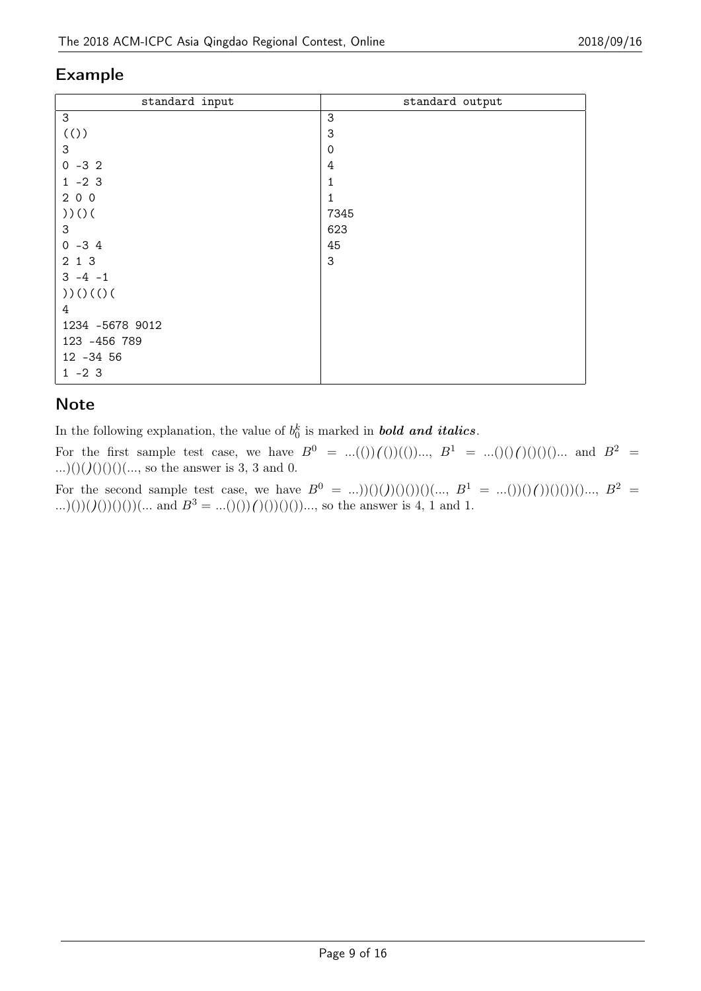| standard input  | standard output |
|-----------------|-----------------|
| 3               | $\sqrt{3}$      |
| (()             | 3               |
| 3               | $\mathbf 0$     |
| $0 -32$         | 4               |
| $1 - 23$        | 1               |
| 200             | 1               |
| ))()            | 7345            |
| 3               | 623             |
| $0 -34$         | 45              |
| 2 1 3           | 3               |
| $3 - 4 - 1$     |                 |
| ))()()()        |                 |
| 4               |                 |
| 1234 -5678 9012 |                 |
| 123 -456 789    |                 |
| 12 - 34 56      |                 |
| $1 - 23$        |                 |

### **Note**

In the following explanation, the value of  $b_0^k$  is marked in *bold and italics*.

For the first sample test case, we have  $B^0 = ...(())(())(())..., B^1 = ...(())(())(())...$  and  $B^2 = ...(())(())(())$ ...)()(*)*()()()(..., so the answer is 3, 3 and 0.

For the second sample test case, we have  $B^0 = ...$ )((*)*(*(*)((*)*((*)*(()((*i*).,  $B^1 = ...$ ((*)*((*)*(()(()()()()...,  $B^2 =$ ...)())(*)*()()()()()... and  $B^3 = ...$ ()()()()()())..., so the answer is 4, 1 and 1.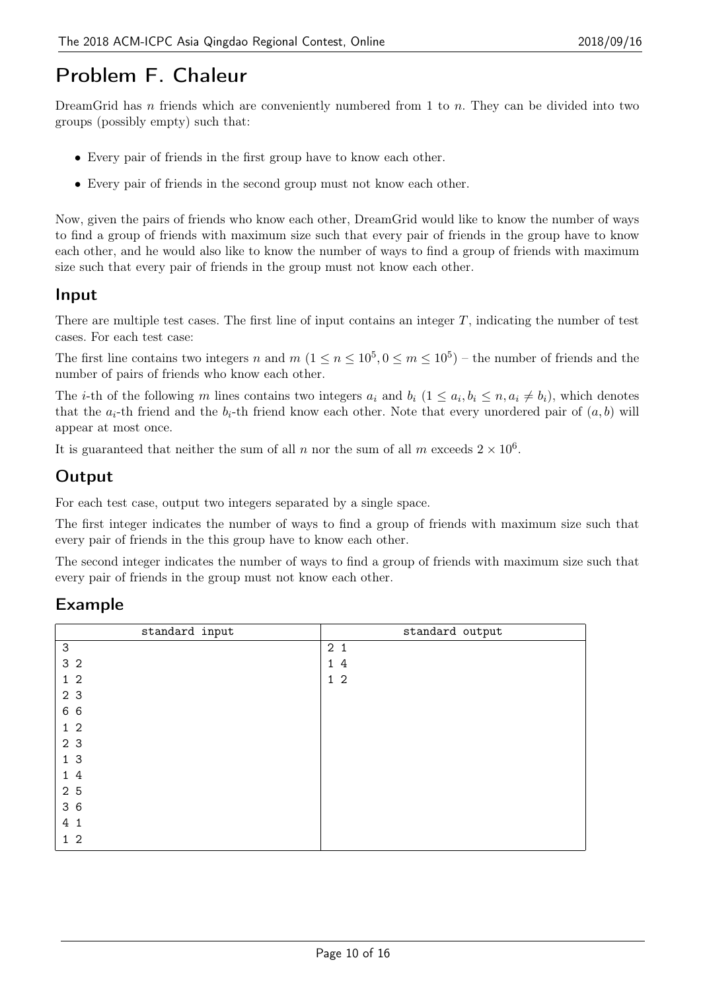# Problem F. Chaleur

DreamGrid has *n* friends which are conveniently numbered from 1 to *n*. They can be divided into two groups (possibly empty) such that:

- *•* Every pair of friends in the first group have to know each other.
- *•* Every pair of friends in the second group must not know each other.

Now, given the pairs of friends who know each other, DreamGrid would like to know the number of ways to find a group of friends with maximum size such that every pair of friends in the group have to know each other, and he would also like to know the number of ways to find a group of friends with maximum size such that every pair of friends in the group must not know each other.

#### Input

There are multiple test cases. The first line of input contains an integer *T*, indicating the number of test cases. For each test case:

The first line contains two integers *n* and  $m$   $(1 \le n \le 10^5, 0 \le m \le 10^5)$  – the number of friends and the number of pairs of friends who know each other.

The *i*-th of the following m lines contains two integers  $a_i$  and  $b_i$   $(1 \le a_i, b_i \le n, a_i \ne b_i)$ , which denotes that the  $a_i$ -th friend and the  $b_i$ -th friend know each other. Note that every unordered pair of  $(a, b)$  will appear at most once.

It is guaranteed that neither the sum of all *n* nor the sum of all *m* exceeds  $2 \times 10^6$ .

#### **Output**

For each test case, output two integers separated by a single space.

The first integer indicates the number of ways to find a group of friends with maximum size such that every pair of friends in the this group have to know each other.

The second integer indicates the number of ways to find a group of friends with maximum size such that every pair of friends in the group must not know each other.

### Example

| standard input | standard output |
|----------------|-----------------|
| 3              | 2 <sub>1</sub>  |
| 3 <sub>2</sub> | 14              |
| 1 <sub>2</sub> | $1\,2$          |
| 2 3            |                 |
| 6 6            |                 |
| 1 <sub>2</sub> |                 |
| 2 3            |                 |
| 13             |                 |
| 14             |                 |
| 2 5            |                 |
| 36             |                 |
| 4 1            |                 |
| $1\quad2$      |                 |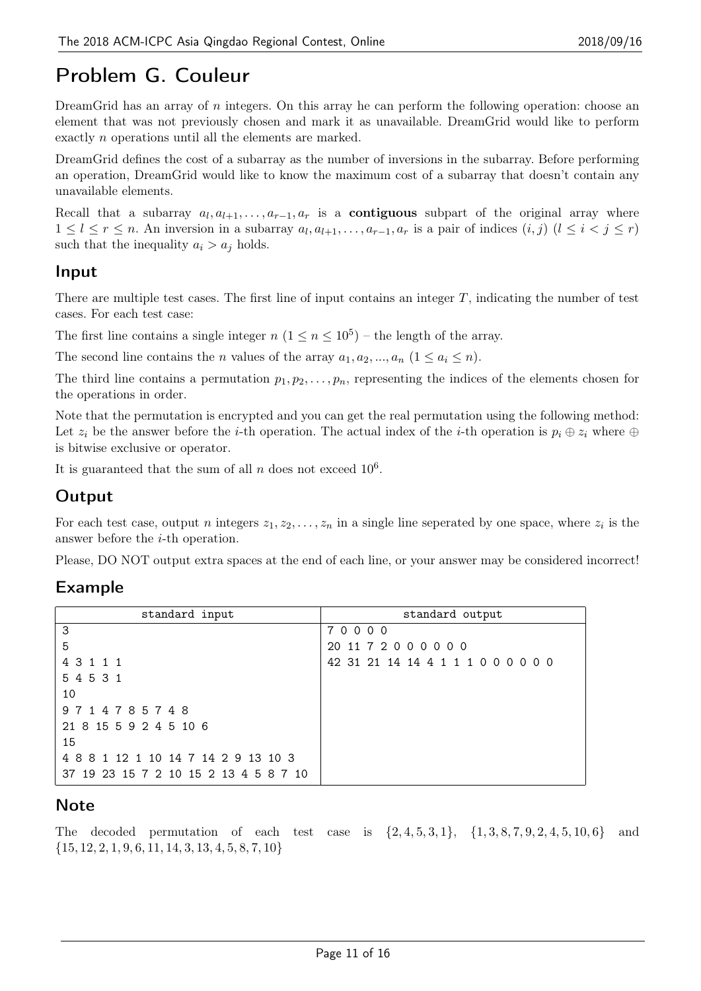# Problem G. Couleur

DreamGrid has an array of *n* integers. On this array he can perform the following operation: choose an element that was not previously chosen and mark it as unavailable. DreamGrid would like to perform exactly *n* operations until all the elements are marked.

DreamGrid defines the cost of a subarray as the number of inversions in the subarray. Before performing an operation, DreamGrid would like to know the maximum cost of a subarray that doesn't contain any unavailable elements.

Recall that a subarray  $a_l, a_{l+1}, \ldots, a_{r-1}, a_r$  is a **contiguous** subpart of the original array where  $1 \leq l \leq r \leq n$ . An inversion in a subarray  $a_l, a_{l+1}, \ldots, a_{r-1}, a_r$  is a pair of indices  $(i, j)$   $(l \leq i < j \leq r)$ such that the inequality  $a_i > a_j$  holds.

#### Input

There are multiple test cases. The first line of input contains an integer *T*, indicating the number of test cases. For each test case:

The first line contains a single integer  $n (1 \le n \le 10^5)$  – the length of the array.

The second line contains the *n* values of the array  $a_1, a_2, ..., a_n$  ( $1 \le a_i \le n$ ).

The third line contains a permutation  $p_1, p_2, \ldots, p_n$ , representing the indices of the elements chosen for the operations in order.

Note that the permutation is encrypted and you can get the real permutation using the following method: Let  $z_i$  be the answer before the *i*-th operation. The actual index of the *i*-th operation is  $p_i \oplus z_i$  where  $\oplus$ is bitwise exclusive or operator.

It is guaranteed that the sum of all  $n$  does not exceed  $10^6$ .

#### Output

For each test case, output *n* integers  $z_1, z_2, \ldots, z_n$  in a single line seperated by one space, where  $z_i$  is the answer before the *i*-th operation.

Please, DO NOT output extra spaces at the end of each line, or your answer may be considered incorrect!

#### Example

| standard input                        | standard output                    |
|---------------------------------------|------------------------------------|
| 3                                     | 70000                              |
| 5                                     | 20 11 7 2 0 0 0 0 0 0              |
| 4 3 1 1 1                             | 42 31 21 14 14 4 1 1 1 0 0 0 0 0 0 |
| 5 4 5 3 1                             |                                    |
| 10                                    |                                    |
| 9714785748                            |                                    |
| 21 8 15 5 9 2 4 5 10 6                |                                    |
| 15                                    |                                    |
| 4 8 8 1 12 1 10 14 7 14 2 9 13 10 3   |                                    |
| 37 19 23 15 7 2 10 15 2 13 4 5 8 7 10 |                                    |

#### **Note**

The decoded permutation of each test case is *{*2*,* 4*,* 5*,* 3*,* 1*}*, *{*1*,* 3*,* 8*,* 7*,* 9*,* 2*,* 4*,* 5*,* 10*,* 6*}* and *{*15*,* 12*,* 2*,* 1*,* 9*,* 6*,* 11*,* 14*,* 3*,* 13*,* 4*,* 5*,* 8*,* 7*,* 10*}*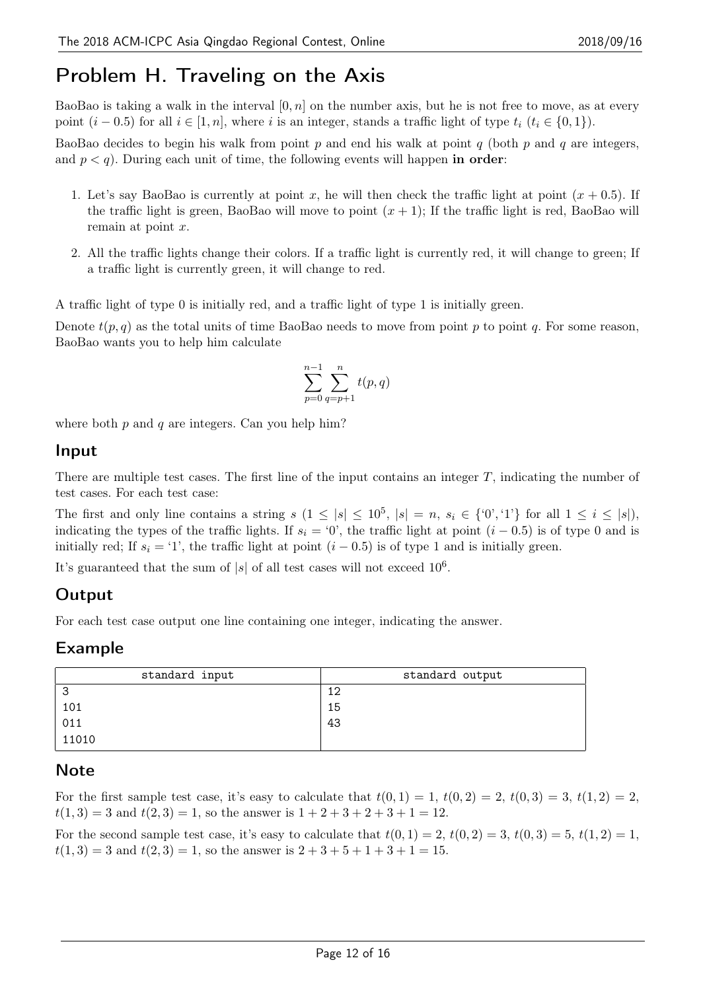# Problem H. Traveling on the Axis

BaoBao is taking a walk in the interval [0*, n*] on the number axis, but he is not free to move, as at every point  $(i-0.5)$  for all  $i \in [1, n]$ , where *i* is an integer, stands a traffic light of type  $t_i$   $(t_i \in \{0, 1\})$ .

BaoBao decides to begin his walk from point *p* and end his walk at point *q* (both *p* and *q* are integers, and  $p < q$ ). During each unit of time, the following events will happen in order:

- 1. Let's say BaoBao is currently at point x, he will then check the traffic light at point  $(x + 0.5)$ . If the traffic light is green, BaoBao will move to point  $(x + 1)$ ; If the traffic light is red, BaoBao will remain at point *x*.
- 2. All the traffic lights change their colors. If a traffic light is currently red, it will change to green; If a traffic light is currently green, it will change to red.

A traffic light of type 0 is initially red, and a traffic light of type 1 is initially green.

Denote  $t(p, q)$  as the total units of time BaoBao needs to move from point p to point q. For some reason, BaoBao wants you to help him calculate

$$
\sum_{p=0}^{n-1} \sum_{q=p+1}^{n} t(p,q)
$$

where both *p* and *q* are integers. Can you help him?

#### Input

There are multiple test cases. The first line of the input contains an integer *T*, indicating the number of test cases. For each test case:

The first and only line contains a string  $s(1 \leq |s| \leq 10^5, |s| = n, s_i \in \{0, 1\}$  for all  $1 \leq i \leq |s|$ , indicating the types of the traffic lights. If  $s_i = '0'$ , the traffic light at point  $(i - 0.5)$  is of type 0 and is initially red; If  $s_i = '1'$ , the traffic light at point  $(i - 0.5)$  is of type 1 and is initially green.

It's guaranteed that the sum of  $|s|$  of all test cases will not exceed  $10^6$ .

### **Output**

For each test case output one line containing one integer, indicating the answer.

#### Example

| standard input | standard output |
|----------------|-----------------|
| З              | 12              |
| 101            | 15              |
| 011            | 43              |
| 11010          |                 |

### **Note**

For the first sample test case, it's easy to calculate that  $t(0,1) = 1$ ,  $t(0,2) = 2$ ,  $t(0,3) = 3$ ,  $t(1,2) = 2$ ,  $t(1,3) = 3$  and  $t(2,3) = 1$ , so the answer is  $1 + 2 + 3 + 2 + 3 + 1 = 12$ .

For the second sample test case, it's easy to calculate that  $t(0, 1) = 2$ ,  $t(0, 2) = 3$ ,  $t(0, 3) = 5$ ,  $t(1, 2) = 1$ ,  $t(1,3) = 3$  and  $t(2,3) = 1$ , so the answer is  $2 + 3 + 5 + 1 + 3 + 1 = 15$ .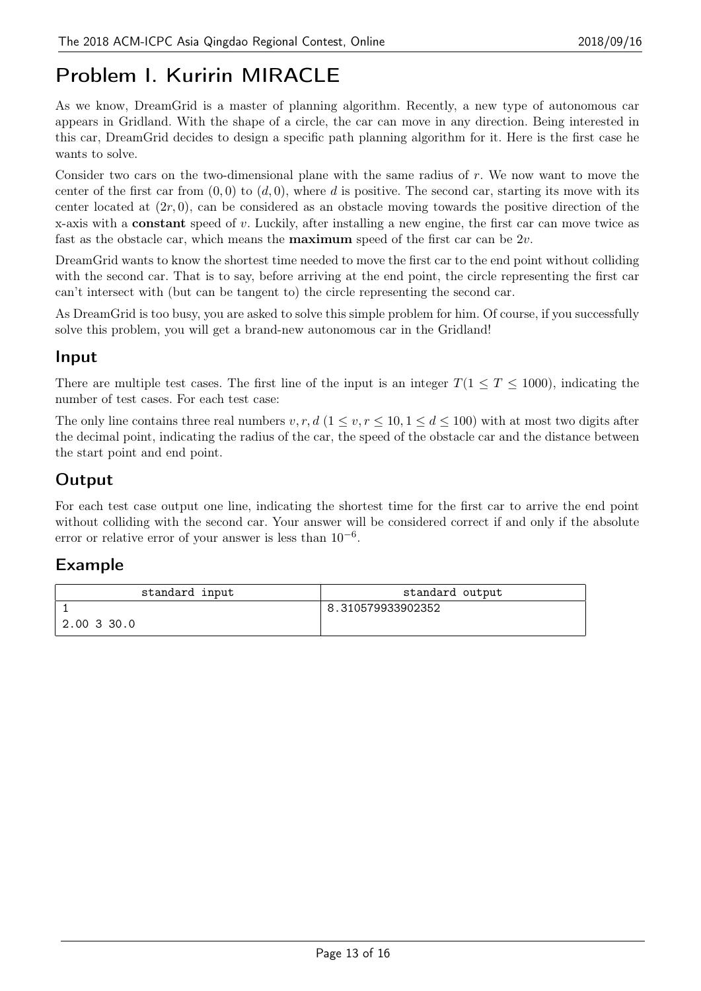# Problem I. Kuririn MIRACLE

As we know, DreamGrid is a master of planning algorithm. Recently, a new type of autonomous car appears in Gridland. With the shape of a circle, the car can move in any direction. Being interested in this car, DreamGrid decides to design a specific path planning algorithm for it. Here is the first case he wants to solve.

Consider two cars on the two-dimensional plane with the same radius of *r*. We now want to move the center of the first car from  $(0,0)$  to  $(d,0)$ , where *d* is positive. The second car, starting its move with its center located at  $(2r, 0)$ , can be considered as an obstacle moving towards the positive direction of the x-axis with a constant speed of *v*. Luckily, after installing a new engine, the first car can move twice as fast as the obstacle car, which means the maximum speed of the first car can be 2*v*.

DreamGrid wants to know the shortest time needed to move the first car to the end point without colliding with the second car. That is to say, before arriving at the end point, the circle representing the first car can't intersect with (but can be tangent to) the circle representing the second car.

As DreamGrid is too busy, you are asked to solve this simple problem for him. Of course, if you successfully solve this problem, you will get a brand-new autonomous car in the Gridland!

#### Input

There are multiple test cases. The first line of the input is an integer  $T(1 \leq T \leq 1000)$ , indicating the number of test cases. For each test case:

The only line contains three real numbers  $v, r, d$  ( $1 \le v, r \le 10, 1 \le d \le 100$ ) with at most two digits after the decimal point, indicating the radius of the car, the speed of the obstacle car and the distance between the start point and end point.

# **Output**

For each test case output one line, indicating the shortest time for the first car to arrive the end point without colliding with the second car. Your answer will be considered correct if and only if the absolute error or relative error of your answer is less than 10*−*<sup>6</sup> .

### Example

| standard input | standard output   |
|----------------|-------------------|
|                | 8.310579933902352 |
| 2.00 3 30.0    |                   |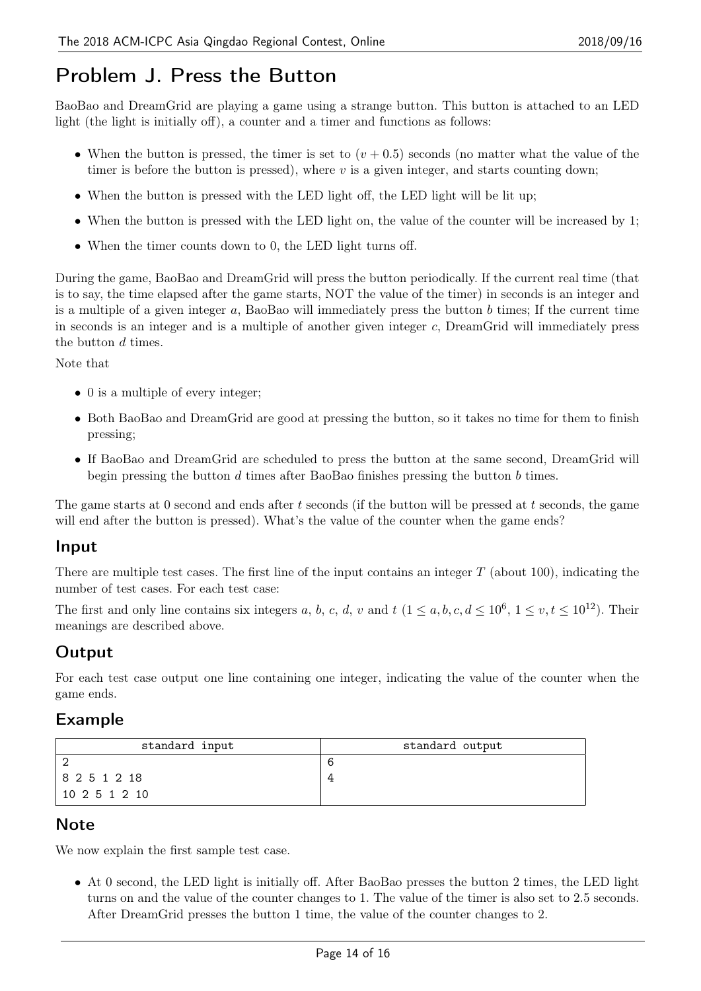# Problem J. Press the Button

BaoBao and DreamGrid are playing a game using a strange button. This button is attached to an LED light (the light is initially off), a counter and a timer and functions as follows:

- When the button is pressed, the timer is set to  $(v + 0.5)$  seconds (no matter what the value of the timer is before the button is pressed), where  $v$  is a given integer, and starts counting down;
- When the button is pressed with the LED light off, the LED light will be lit up;
- When the button is pressed with the LED light on, the value of the counter will be increased by 1;
- When the timer counts down to 0, the LED light turns off.

During the game, BaoBao and DreamGrid will press the button periodically. If the current real time (that is to say, the time elapsed after the game starts, NOT the value of the timer) in seconds is an integer and is a multiple of a given integer *a*, BaoBao will immediately press the button *b* times; If the current time in seconds is an integer and is a multiple of another given integer *c*, DreamGrid will immediately press the button *d* times.

Note that

- 0 is a multiple of every integer;
- Both BaoBao and DreamGrid are good at pressing the button, so it takes no time for them to finish pressing;
- *•* If BaoBao and DreamGrid are scheduled to press the button at the same second, DreamGrid will begin pressing the button *d* times after BaoBao finishes pressing the button *b* times.

The game starts at 0 second and ends after *t* seconds (if the button will be pressed at *t* seconds, the game will end after the button is pressed). What's the value of the counter when the game ends?

#### Input

There are multiple test cases. The first line of the input contains an integer *T* (about 100), indicating the number of test cases. For each test case:

The first and only line contains six integers *a*, *b*, *c*, *d*, *v* and  $t$  ( $1 \le a, b, c, d \le 10^6$ ,  $1 \le v, t \le 10^{12}$ ). Their meanings are described above.

### Output

For each test case output one line containing one integer, indicating the value of the counter when the game ends.

#### Example

| standard input | standard output |
|----------------|-----------------|
|                |                 |
| 8 2 5 1 2 18   |                 |
| 10 2 5 1 2 10  |                 |

#### **Note**

We now explain the first sample test case.

• At 0 second, the LED light is initially off. After BaoBao presses the button 2 times, the LED light turns on and the value of the counter changes to 1. The value of the timer is also set to 2.5 seconds. After DreamGrid presses the button 1 time, the value of the counter changes to 2.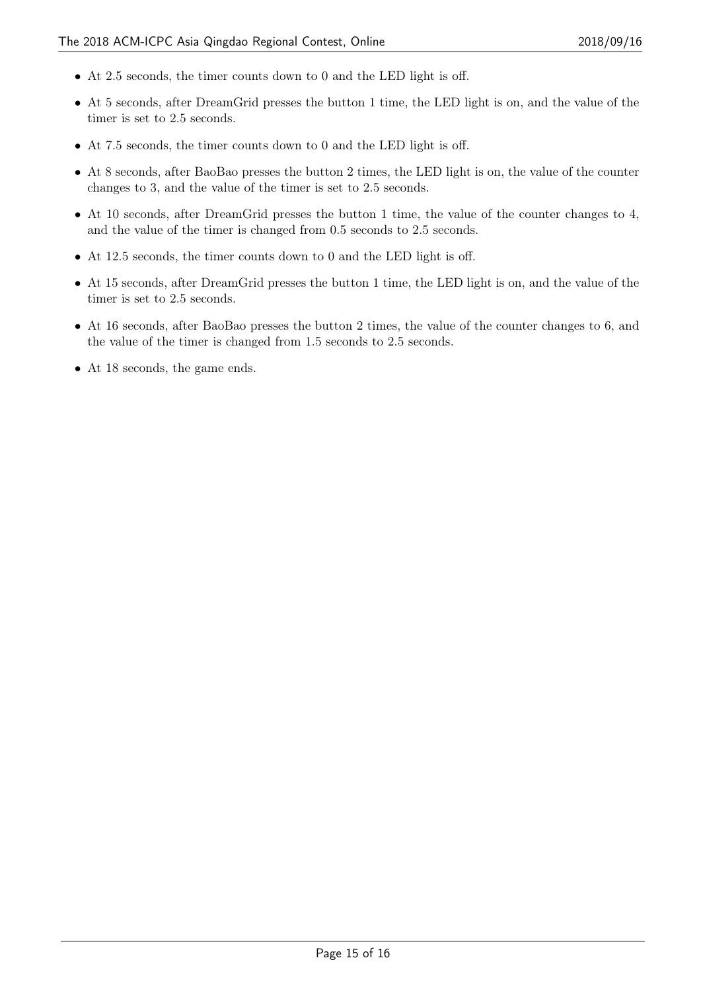- At 2.5 seconds, the timer counts down to 0 and the LED light is off.
- At 5 seconds, after DreamGrid presses the button 1 time, the LED light is on, and the value of the timer is set to 2.5 seconds.
- At 7.5 seconds, the timer counts down to 0 and the LED light is off.
- At 8 seconds, after BaoBao presses the button 2 times, the LED light is on, the value of the counter changes to 3, and the value of the timer is set to 2.5 seconds.
- At 10 seconds, after DreamGrid presses the button 1 time, the value of the counter changes to 4. and the value of the timer is changed from 0.5 seconds to 2.5 seconds.
- At 12.5 seconds, the timer counts down to 0 and the LED light is off.
- At 15 seconds, after DreamGrid presses the button 1 time, the LED light is on, and the value of the timer is set to 2.5 seconds.
- At 16 seconds, after BaoBao presses the button 2 times, the value of the counter changes to 6, and the value of the timer is changed from 1.5 seconds to 2.5 seconds.
- At 18 seconds, the game ends.